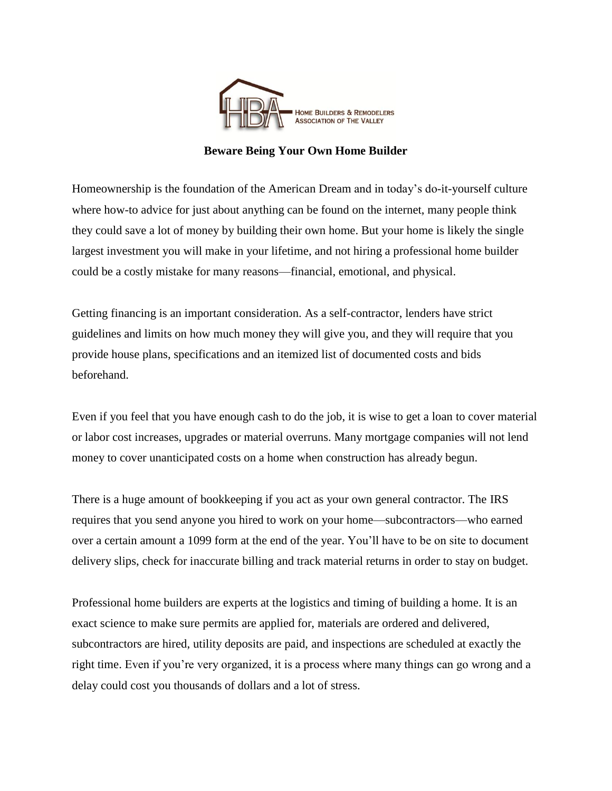

## **Beware Being Your Own Home Builder**

Homeownership is the foundation of the American Dream and in today's do-it-yourself culture where how-to advice for just about anything can be found on the internet, many people think they could save a lot of money by building their own home. But your home is likely the single largest investment you will make in your lifetime, and not hiring a professional home builder could be a costly mistake for many reasons—financial, emotional, and physical.

Getting financing is an important consideration. As a self-contractor, lenders have strict guidelines and limits on how much money they will give you, and they will require that you provide house plans, specifications and an itemized list of documented costs and bids beforehand.

Even if you feel that you have enough cash to do the job, it is wise to get a loan to cover material or labor cost increases, upgrades or material overruns. Many mortgage companies will not lend money to cover unanticipated costs on a home when construction has already begun.

There is a huge amount of bookkeeping if you act as your own general contractor. The IRS requires that you send anyone you hired to work on your home—subcontractors—who earned over a certain amount a 1099 form at the end of the year. You'll have to be on site to document delivery slips, check for inaccurate billing and track material returns in order to stay on budget.

Professional home builders are experts at the logistics and timing of building a home. It is an exact science to make sure permits are applied for, materials are ordered and delivered, subcontractors are hired, utility deposits are paid, and inspections are scheduled at exactly the right time. Even if you're very organized, it is a process where many things can go wrong and a delay could cost you thousands of dollars and a lot of stress.